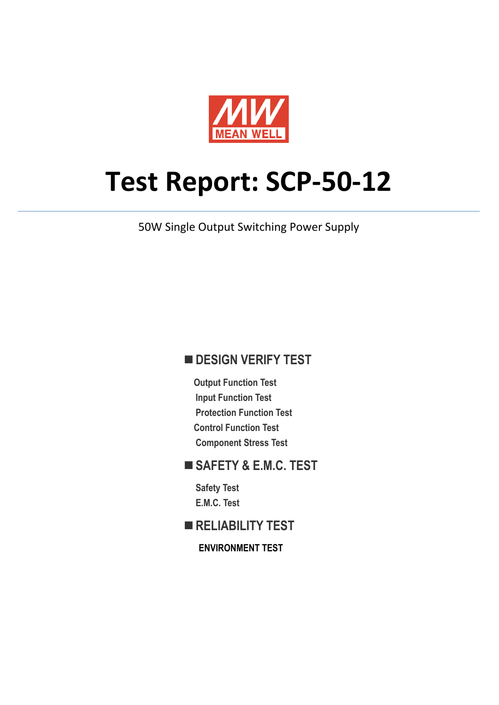

# **Test Report: SCP‐50‐12**

50W Single Output Switching Power Supply

#### **DESIGN VERIFY TEST**

**Output Function Test Input Function Test Protection Function Test Control Function Test Component Stress Test** 

#### **SAFETY & E.M.C. TEST**

**Safety Test E.M.C. Test** 

#### **RELIABILITY TEST**

**ENVIRONMENT TEST**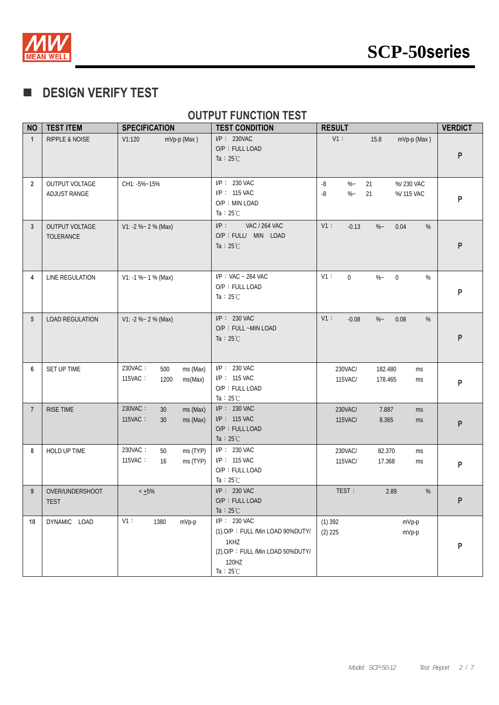

### **DESIGN VERIFY TEST**

#### **OUTPUT FUNCTION TEST**

| <b>NO</b>      | <b>TEST ITEM</b>                   | <b>SPECIFICATION</b>                                     | <b>TEST CONDITION</b>                                                                                                          | <b>RESULT</b>                                                         | <b>VERDICT</b> |
|----------------|------------------------------------|----------------------------------------------------------|--------------------------------------------------------------------------------------------------------------------------------|-----------------------------------------------------------------------|----------------|
| $\overline{1}$ | <b>RIPPLE &amp; NOISE</b>          | mVp-p (Max)<br>V1:120                                    | $I/P$ : 230VAC<br>O/P: FULL LOAD<br>Ta : $25^{\circ}$ C                                                                        | $V1$ :<br>15.8<br>mVp-p (Max)                                         | ${\sf P}$      |
| $\overline{2}$ | OUTPUT VOLTAGE<br>ADJUST RANGE     | CH1: -5%~15%                                             | I/P: 230 VAC<br>I/P: 115 VAC<br>O/P: MIN LOAD<br>Ta : $25^{\circ}$ C                                                           | $-8$<br>$\%$ –<br>21<br>%/230 VAC<br>$\%$ –<br>-8<br>21<br>%/ 115 VAC | P              |
| 3              | <b>OUTPUT VOLTAGE</b><br>TOLERANCE | $V1: -2 % - 2 %$ (Max)                                   | $I/P$ :<br><b>VAC / 264 VAC</b><br>O/P : FULL/ MIN LOAD<br>Ta : $25^{\circ}$ C                                                 | V1:<br>$-0.13$<br>$\%$ ~<br>0.04<br>%                                 | P              |
| 4              | LINE REGULATION                    | $V1: -1 % - 1 % (Max)$                                   | $I/P$ : VAC ~ 264 VAC<br>O/P: FULL LOAD<br>Ta : $25^{\circ}$ C                                                                 | V1:<br>$\overline{0}$<br>$\%$ –<br>$\mathbf 0$<br>$\%$                | P              |
| 5              | LOAD REGULATION                    | $V1: -2 % - 2 %$ (Max)                                   | $I/P$ : 230 VAC<br>O/P: FULL ~MIN LOAD<br>Ta : $25^{\circ}$ C                                                                  | V1:<br>$\%$ –<br>0.08<br>$-0.08$<br>%                                 | P              |
| 6              | SET UP TIME                        | 230VAC:<br>500<br>ms (Max)<br>115VAC:<br>1200<br>ms(Max) | I/P: 230 VAC<br>I/P: 115 VAC<br>O/P: FULL LOAD<br>Ta : $25^{\circ}$ C                                                          | 230VAC/<br>182.480<br>ms<br>115VAC/<br>178.465<br>ms                  | P              |
| $\overline{7}$ | RISE TIME                          | 230VAC:<br>ms (Max)<br>30<br>115VAC:<br>30<br>ms (Max)   | $I/P$ : 230 VAC<br>$I/P$ : 115 VAC<br>O/P: FULL LOAD<br>Ta : $25^{\circ}$ C                                                    | 230VAC/<br>7.887<br>ms<br>115VAC/<br>8.365<br>ms                      | P              |
| 8              | HOLD UP TIME                       | 230VAC:<br>50<br>ms (TYP)<br>115VAC:<br>ms (TYP)<br>16   | I/P: 230 VAC<br>I/P: 115 VAC<br>O/P: FULL LOAD<br>Ta: $25^{\circ}$ C                                                           | 230VAC/<br>82.370<br>ms<br>115VAC/<br>17.368<br>ms                    | P              |
| 9              | OVER/UNDERSHOOT<br><b>TEST</b>     | $< +5\%$                                                 | $I/P$ : 230 VAC<br>O/P: FULL LOAD<br>Ta : $25^{\circ}$ C                                                                       | TEST:<br>2.89<br>%                                                    | P              |
| 10             | DYNAMIC LOAD                       | $V1$ :<br>1380<br>mVp-p                                  | $I/P$ : 230 VAC<br>(1).O/P: FULL /Min LOAD 90%DUTY/<br>1KHZ<br>(2).O/P: FULL /Min LOAD 50%DUTY/<br>120HZ<br>Ta: $25^{\circ}$ C | $(1)$ 392<br>mVp-p<br>$(2)$ 225<br>mVp-p                              | P              |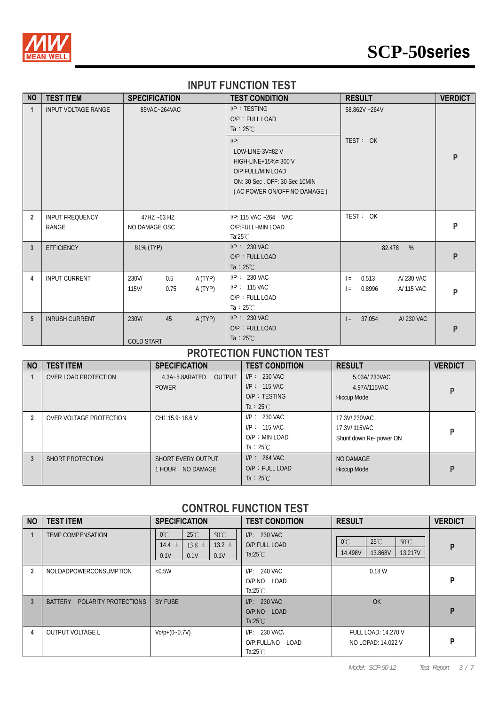

## **SCP-50series**

#### **INPUT FUNCTION TEST**

| <b>NO</b>      | <b>TEST ITEM</b>                | <b>SPECIFICATION</b>             |                    | <b>TEST CONDITION</b>                                                                                                                          | <b>RESULT</b>                                            | <b>VERDICT</b> |
|----------------|---------------------------------|----------------------------------|--------------------|------------------------------------------------------------------------------------------------------------------------------------------------|----------------------------------------------------------|----------------|
| $\mathbf 1$    | <b>INPUT VOLTAGE RANGE</b>      | 85VAC~264VAC                     |                    | I/P: TESTING<br>O/P: FULL LOAD<br>Ta : $25^{\circ}$ C                                                                                          | 58.862V ~264V                                            |                |
|                |                                 |                                  |                    | $I/P$ :<br>LOW-LINE- $3V=82$ V<br>$HIGH-LINE+15% = 300 V$<br>O/P:FULL/MIN LOAD<br>ON: 30 Sec. OFF: 30 Sec 10MIN<br>(AC POWER ON/OFF NO DAMAGE) | TEST: OK                                                 | P              |
| $\overline{2}$ | <b>INPUT FREQUENCY</b><br>RANGE | 47HZ ~63 HZ<br>NO DAMAGE OSC     |                    | I/P: 115 VAC ~264 VAC<br>O/P:FULL~MIN LOAD<br>Ta: $25^{\circ}$ C                                                                               | TEST: OK                                                 | P              |
| 3              | <b>EFFICIENCY</b>               | 81% (TYP)                        |                    | $I/P$ : 230 VAC<br>O/P: FULL LOAD<br>Ta : $25^{\circ}$ C                                                                                       | 82.478<br>%                                              | P              |
| 4              | <b>INPUT CURRENT</b>            | 230V/<br>0.5<br>$115$ V/<br>0.75 | A (TYP)<br>A (TYP) | $I/P$ : 230 VAC<br>$I/P: 115$ VAC<br>O/P: FULL LOAD<br>Ta : $25^{\circ}$ C                                                                     | 0.513<br>A/230 VAC<br>$=$<br>0.8996<br>A/ 115 VAC<br>$=$ | P              |
| 5              | <b>INRUSH CURRENT</b>           | 230V/<br>45<br><b>COLD START</b> | A (TYP)            | $I/P$ : 230 VAC<br>O/P: FULL LOAD<br>Ta : $25^{\circ}$ C                                                                                       | 37.054<br>A/230 VAC<br>$=$                               | P              |

#### **PROTECTION FUNCTION TEST**

| <b>NO</b>      | <b>TEST ITEM</b>        | <b>SPECIFICATION</b>                            | <b>TEST CONDITION</b>                                                       | <b>RESULT</b>                                            | <b>VERDICT</b> |
|----------------|-------------------------|-------------------------------------------------|-----------------------------------------------------------------------------|----------------------------------------------------------|----------------|
|                | OVER LOAD PROTECTION    | <b>OUTPUT</b><br>4.3A~5.8ARATED<br><b>POWER</b> | $I/P: 230$ VAC<br>$I/P$ : 115 VAC<br>$O/P$ : TESTING<br>Ta : $25^{\circ}$ C | 5.03A/230VAC<br>4.97A/115VAC<br><b>Hiccup Mode</b>       | P              |
| $\overline{2}$ | OVER VOLTAGE PROTECTION | CH1:15.9~18.6 V                                 | $I/P: 230$ VAC<br>$I/P: 115$ VAC<br>$O/P$ : MIN LOAD<br>Ta : $25^{\circ}$ C | 17.3V/ 230VAC<br>17.3V/115VAC<br>Shunt down Re- power ON | P              |
| 3              | SHORT PROTECTION        | <b>SHORT EVERY OUTPUT</b><br>1 HOUR NO DAMAGE   | $I/P$ : 264 VAC<br>O/P: FULL LOAD<br>Ta : $25^{\circ}$ C                    | NO DAMAGE<br><b>Hiccup Mode</b>                          | P              |

#### **CONTROL FUNCTION TEST**

| <b>NO</b>      | <b>TEST ITEM</b>                       | <b>SPECIFICATION</b>                                                                                                | <b>TEST CONDITION</b>                                      | <b>RESULT</b>                                                                      | <b>VERDICT</b> |
|----------------|----------------------------------------|---------------------------------------------------------------------------------------------------------------------|------------------------------------------------------------|------------------------------------------------------------------------------------|----------------|
|                | <b>TEMP COMPENSATION</b>               | $50^{\circ}$ C<br>$25^{\circ}$ C<br>$0^{\circ}$ C<br>$14.4 \pm$<br>13.2 $\pm$<br>$13.8 \pm$<br>0.1V<br>0.1V<br>0.1V | $I/P: 230$ VAC<br>O/P:FULL LOAD<br>Ta: $25^{\circ}$ C      | $50^{\circ}$ C<br>$25^{\circ}$ C<br>$0^{\circ}$ C<br>13.217V<br>14.498V<br>13.868V | P              |
| $\overline{2}$ | NOLOADPOWERCONSUMPTION                 | < 0.5W                                                                                                              | $I/P: 240$ VAC<br>O/P:NO LOAD<br>Ta: $25^{\circ}$ C        | 0.18W                                                                              | P              |
| 3              | <b>BATTERY</b><br>POLARITY PROTECTIONS | <b>BY FUSE</b>                                                                                                      | $I/P: 230$ VAC<br>O/P:NO LOAD<br>Ta: $25^{\circ}$ C        | OK                                                                                 | P              |
| 4              | <b>OUTPUT VOLTAGE L</b>                | $V_0/p+(0-0.7V)$                                                                                                    | $I/P$ : 230 VAC\<br>O/P:FULL/NO LOAD<br>Ta: $25^{\circ}$ C | <b>FULL LOAD: 14.270 V</b><br>NO LOPAD: 14.022 V                                   | P              |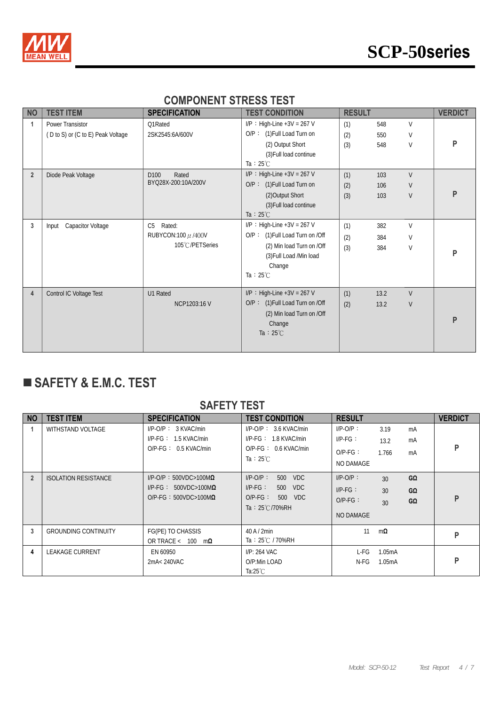

#### **COMPONENT STRESS TEST**

| <b>NO</b>      | <b>TEST ITEM</b>                                      | <b>SPECIFICATION</b>                                                   | <b>TEST CONDITION</b>                                                                                                                                     | <b>RESULT</b>     |                   |                            | <b>VERDICT</b> |
|----------------|-------------------------------------------------------|------------------------------------------------------------------------|-----------------------------------------------------------------------------------------------------------------------------------------------------------|-------------------|-------------------|----------------------------|----------------|
| 1              | Power Transistor<br>(D to S) or (C to E) Peak Voltage | Q1Rated<br>2SK2545:6A/600V                                             | $I/P$ : High-Line +3V = 267 V<br>O/P: (1) Full Load Turn on<br>(2) Output Short<br>(3) Full load continue<br>Ta : $25^{\circ}$ C                          | (1)<br>(2)<br>(3) | 548<br>550<br>548 | V<br>V<br>$\vee$           | P              |
| $\overline{2}$ | Diode Peak Voltage                                    | D <sub>100</sub><br>Rated<br>BYQ28X-200:10A/200V                       | $I/P$ : High-Line +3V = 267 V<br>O/P: (1) Full Load Turn on<br>(2) Output Short<br>(3) Full load continue<br>Ta : $25^{\circ}$ C                          | (1)<br>(2)<br>(3) | 103<br>106<br>103 | $\vee$<br>$\vee$<br>$\vee$ | P              |
| 3              | <b>Capacitor Voltage</b><br>Input                     | C <sub>5</sub><br>Rated:<br>RUBYCON:100 $\mu$ /400V<br>105°C/PETSeries | $I/P$ : High-Line +3V = 267 V<br>O/P: (1) Full Load Turn on /Off<br>(2) Min load Turn on /Off<br>(3) Full Load /Min load<br>Change<br>Ta : $25^{\circ}$ C | (1)<br>(2)<br>(3) | 382<br>384<br>384 | V<br>$\vee$<br>$\vee$      | P              |
| $\overline{4}$ | Control IC Voltage Test                               | U1 Rated<br>NCP1203:16 V                                               | $I/P$ : High-Line +3V = 267 V<br>O/P: (1) Full Load Turn on /Off<br>(2) Min load Turn on /Off<br>Change<br>Ta : $25^{\circ}$ C                            | (1)<br>(2)        | 13.2<br>13.2      | $\vee$<br>V                | P              |

## **SAFETY & E.M.C. TEST**

#### **SAFETY TEST**

| <b>NO</b>      | <b>TEST ITEM</b>            | <b>SPECIFICATION</b>                                                                                        | <b>TEST CONDITION</b>                                                                                      | <b>RESULT</b>                                        |                                         | <b>VERDICT</b> |
|----------------|-----------------------------|-------------------------------------------------------------------------------------------------------------|------------------------------------------------------------------------------------------------------------|------------------------------------------------------|-----------------------------------------|----------------|
|                | WITHSTAND VOLTAGE           | $I/P-O/P$ : 3 KVAC/min<br>$I/P\text{-}FG: 1.5 KVAC/min$<br>$O/P-FG: 0.5$ KVAC/min                           | $I/P-O/P$ : 3.6 KVAC/min<br>$I/P\text{-}FG: 1.8$ KVAC/min<br>$O/P-FG: 0.6$ KVAC/min<br>Ta : $25^{\circ}$ C | $I/P-O/P$ :<br>$I/P-FG$ :<br>$O/P-FG$ :<br>NO DAMAGE | 3.19<br>mA<br>mA<br>13.2<br>1.766<br>mA | P              |
| $\overline{2}$ | <b>ISOLATION RESISTANCE</b> | $I/P$ -O/P: 500VDC>100M $\Omega$<br>$I/P\text{-FG}$ : 500VDC>100M $\Omega$<br>O/P-FG: $500VDC > 100M\Omega$ | $I/P-O/P$ :<br>500 VDC<br>$I/P-FG:$<br>500 VDC<br>$O/P-FG$ :<br>500 VDC<br>Ta: $25^{\circ}$ C/70%RH        | $I/P-O/P$ :<br>$IP-FG$ :<br>$O/P-FG$ :<br>NO DAMAGE  | GΩ<br>30<br>30<br>GΩ<br>GΩ<br>30        | P              |
| 3              | <b>GROUNDING CONTINUITY</b> | FG(PE) TO CHASSIS<br>OR TRACE < $100 \text{ m}\Omega$                                                       | $40$ A / $2$ min<br>Ta: 25℃ / 70%RH                                                                        | 11                                                   | $m\Omega$                               | P              |
| 4              | <b>LEAKAGE CURRENT</b>      | EN 60950<br>2mA< 240VAC                                                                                     | $I/P: 264$ VAC<br>O/P:Min LOAD<br>Ta: $25^{\circ}$ C                                                       | L-FG<br>N-FG                                         | 1.05mA<br>1.05mA                        | P              |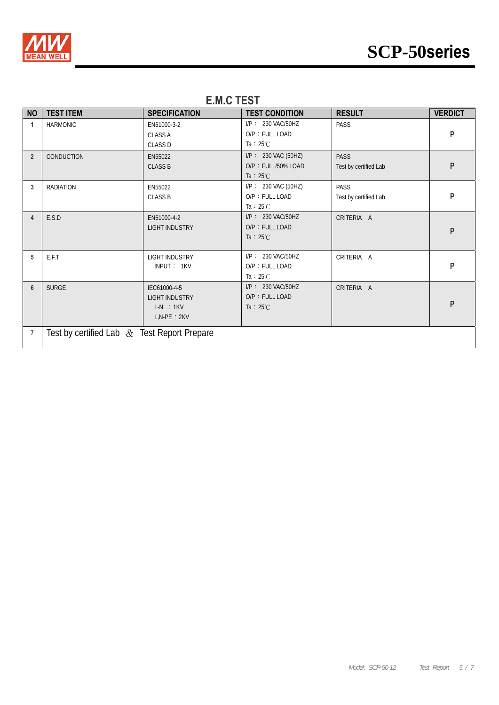

| <b>NO</b>      | <b>TEST ITEM</b>                            | <b>SPECIFICATION</b>                                                    | <b>TEST CONDITION</b>                                               | <b>RESULT</b>                        | <b>VERDICT</b> |  |  |
|----------------|---------------------------------------------|-------------------------------------------------------------------------|---------------------------------------------------------------------|--------------------------------------|----------------|--|--|
| 1              | <b>HARMONIC</b>                             | EN61000-3-2<br><b>CLASS A</b><br><b>CLASS D</b>                         | I/P: 230 VAC/50HZ<br>O/P: FULL LOAD<br>Ta : $25^{\circ}$ C          | PASS                                 | P              |  |  |
| $\overline{2}$ | CONDUCTION                                  | EN55022<br><b>CLASS B</b>                                               | $I/P$ : 230 VAC (50HZ)<br>O/P: FULL/50% LOAD<br>Ta : $25^{\circ}$ C | <b>PASS</b><br>Test by certified Lab | P              |  |  |
| 3              | <b>RADIATION</b>                            | EN55022<br><b>CLASS B</b>                                               | I/P: 230 VAC (50HZ)<br>O/P: FULL LOAD<br>Ta : $25^{\circ}$ C        | <b>PASS</b><br>Test by certified Lab | P              |  |  |
| 4              | E.S.D                                       | EN61000-4-2<br><b>LIGHT INDUSTRY</b>                                    | I/P: 230 VAC/50HZ<br>O/P: FULL LOAD<br>Ta : $25^{\circ}$ C          | CRITERIA A                           | P              |  |  |
| 5              | E.F.T                                       | <b>LIGHT INDUSTRY</b><br>INPUT: 1KV                                     | I/P: 230 VAC/50HZ<br>O/P: FULL LOAD<br>Ta: $25^{\circ}$ C           | CRITERIA A                           | P              |  |  |
| $6\phantom{1}$ | <b>SURGE</b>                                | IEC61000-4-5<br><b>LIGHT INDUSTRY</b><br>$L-N$ : 1KV<br>$L, N-PE : 2KV$ | I/P: 230 VAC/50HZ<br>O/P: FULL LOAD<br>Ta : $25^{\circ}$ C          | CRITERIA A                           | P              |  |  |
| $\overline{7}$ | Test by certified Lab & Test Report Prepare |                                                                         |                                                                     |                                      |                |  |  |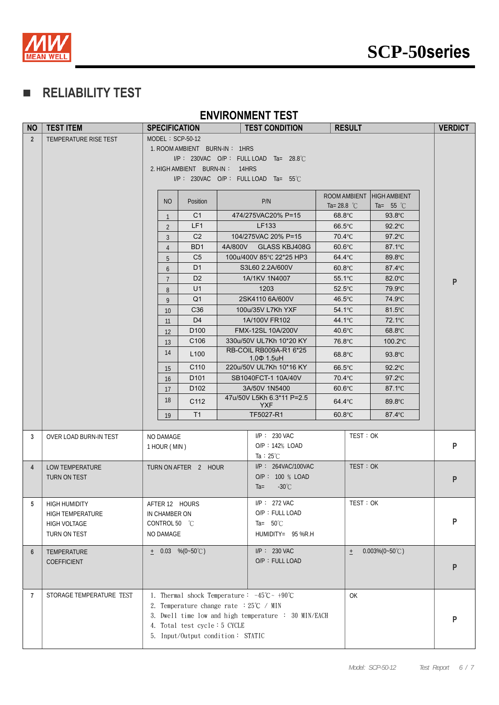



## **RELIABILITY TEST**

#### **ENVIRONMENT TEST**

| <b>NO</b>      | <b>TEST ITEM</b>         | <b>SPECIFICATION</b> |                                                           |  | <b>TEST CONDITION</b>                                                        | <b>RESULT</b>              |                                      | <b>VERDICT</b> |
|----------------|--------------------------|----------------------|-----------------------------------------------------------|--|------------------------------------------------------------------------------|----------------------------|--------------------------------------|----------------|
| $\overline{2}$ | TEMPERATURE RISE TEST    | MODEL: SCP-50-12     |                                                           |  |                                                                              |                            |                                      |                |
|                |                          |                      | 1. ROOM AMBIENT BURN-IN: 1HRS                             |  |                                                                              |                            |                                      |                |
|                |                          |                      | I/P: 230VAC O/P: FULLLOAD Ta= 28.8°C                      |  |                                                                              |                            |                                      |                |
|                |                          |                      | 2. HIGH AMBIENT BURN-IN: 14HRS                            |  |                                                                              |                            |                                      |                |
|                |                          |                      | I/P: 230VAC O/P: FULLLOAD Ta= 55°C                        |  |                                                                              |                            |                                      |                |
|                |                          |                      |                                                           |  |                                                                              | ROOM AMBIENT               | <b>HIGH AMBIENT</b>                  |                |
|                |                          | <b>NO</b>            | Position                                                  |  | P/N                                                                          | Ta= 28.8 $^{\circ}$ C      | Ta= $55 °C$                          |                |
|                |                          | $\mathbf{1}$         | C <sub>1</sub>                                            |  | 474/275VAC20% P=15                                                           | $68.8^{\circ}$ C           | $93.8^{\circ}$ C                     |                |
|                |                          | $\overline{2}$       | LF1                                                       |  | LF133                                                                        | $66.5^{\circ}$ C           | $92.2^{\circ}$ C                     |                |
|                |                          | $\mathbf{3}$         | C <sub>2</sub>                                            |  | 104/275VAC 20% P=15                                                          | 70.4°C                     | $97.2^{\circ}$ C                     |                |
|                |                          | $\overline{4}$       | BD <sub>1</sub>                                           |  | 4A/800V GLASS KBJ408G                                                        | $60.6^{\circ}$ C           | $87.1^{\circ}$ C                     |                |
|                |                          | 5                    | C <sub>5</sub>                                            |  | 100u/400V 85°C 22*25 HP3                                                     | 64.4°C                     | 89.8°C                               |                |
|                |                          | 6                    | D <sub>1</sub>                                            |  | S3L60 2.2A/600V                                                              | $60.8$ °C                  | $87.4^{\circ}$ C                     |                |
|                |                          | $\overline{7}$       | D <sub>2</sub>                                            |  | 1A/1KV 1N4007                                                                | $55.1^{\circ}$ C           | $82.0^{\circ}$ C                     | P              |
|                |                          | 8                    | U1                                                        |  | 1203                                                                         | $52.5^{\circ}$ C           | 79.9°C                               |                |
|                |                          | 9                    | Q <sub>1</sub>                                            |  | 2SK4110 6A/600V                                                              | 46.5 $\degree$ C           | 74.9°C                               |                |
|                |                          | 10                   | C36                                                       |  | 100u/35V L7Kh YXF                                                            | $54.1^{\circ}$ C           | $81.5^{\circ}$ C                     |                |
|                |                          | 11                   | D <sub>4</sub><br>D <sub>100</sub>                        |  | 1A/100V FR102<br>FMX-12SL 10A/200V                                           | 44.1°C<br>$40.6^{\circ}$ C | $72.1^{\circ}$ C<br>$68.8^{\circ}$ C |                |
|                |                          | 12                   | C <sub>106</sub>                                          |  | 330u/50V UL7Kh 10*20 KY                                                      | 76.8°C                     | 100.2°C                              |                |
|                |                          | 13<br>14             | L <sub>100</sub>                                          |  | RB-COIL RB009A-R1 6*25                                                       | $68.8^{\circ}$ C           | $93.8^{\circ}$ C                     |                |
|                |                          | 15                   | C110                                                      |  | $1.0\Phi$ 1.5uH<br>220u/50V UL7Kh 10*16 KY                                   | $66.5^{\circ}$ C           | $92.2^{\circ}$ C                     |                |
|                |                          | 16                   | D <sub>101</sub>                                          |  | SB1040FCT-1 10A/40V                                                          | 70.4°C                     | $97.2^{\circ}$ C                     |                |
|                |                          | 17                   | D <sub>102</sub>                                          |  | 3A/50V 1N5400                                                                | $60.6^{\circ}$ C           | $87.1^{\circ}$ C                     |                |
|                |                          | 18                   | C112                                                      |  | 47u/50V L5Kh 6.3*11 P=2.5                                                    | 64.4°C                     | 89.8°C                               |                |
|                |                          |                      |                                                           |  | <b>YXF</b>                                                                   |                            |                                      |                |
|                |                          | 19                   | T1                                                        |  | TF5027-R1                                                                    | $60.8$ °C                  | 87.4°C                               |                |
| 3              | OVER LOAD BURN-IN TEST   | NO DAMAGE            |                                                           |  | $I/P$ : 230 VAC                                                              |                            | TEST: OK                             |                |
|                |                          | 1 HOUR (MIN)         |                                                           |  | $O/P: 142\%$ LOAD                                                            |                            |                                      | $\mathsf{P}$   |
|                |                          |                      |                                                           |  | Ta : $25^{\circ}$ C                                                          |                            |                                      |                |
| $\overline{4}$ | LOW TEMPERATURE          |                      | TURN ON AFTER 2 HOUR                                      |  | I/P: 264VAC/100VAC                                                           |                            | TEST:OK                              |                |
|                | TURN ON TEST             |                      |                                                           |  | O/P: 100 % LOAD                                                              |                            |                                      | ${\sf P}$      |
|                |                          |                      |                                                           |  | $-30^{\circ}$ C<br>$Ta =$                                                    |                            |                                      |                |
| 5              | <b>HIGH HUMIDITY</b>     | AFTER 12 HOURS       |                                                           |  | $I/P$ : 272 VAC                                                              |                            | TEST: OK                             |                |
|                | HIGH TEMPERATURE         | IN CHAMBER ON        |                                                           |  | O/P: FULL LOAD                                                               |                            |                                      |                |
|                | <b>HIGH VOLTAGE</b>      | CONTROL 50 °C        |                                                           |  | Ta= $50^{\circ}$ C                                                           |                            |                                      | P              |
|                | TURN ON TEST             | NO DAMAGE            |                                                           |  | HUMIDITY= 95 %R.H                                                            |                            |                                      |                |
| 6              | TEMPERATURE              | $\pm$ 0.03 %(0~50°C) |                                                           |  | $I/P$ : 230 VAC                                                              | $\pm$                      | $0.003\%(0-50\degree\text{C})$       |                |
|                | COEFFICIENT              |                      |                                                           |  | O/P: FULL LOAD                                                               |                            |                                      |                |
|                |                          |                      |                                                           |  |                                                                              |                            |                                      | P              |
|                |                          |                      |                                                           |  |                                                                              |                            |                                      |                |
| 7              | STORAGE TEMPERATURE TEST |                      |                                                           |  | 1. Thermal shock Temperature: $-45^{\circ}\text{C} \sim +90^{\circ}\text{C}$ | OK                         |                                      |                |
|                |                          |                      | 2. Temperature change rate $:25^{\circ}C \rightarrow MIN$ |  |                                                                              |                            |                                      |                |
|                |                          |                      |                                                           |  | 3. Dwell time low and high temperature : 30 MIN/EACH                         |                            |                                      | P              |
|                |                          |                      | 4. Total test cycle: 5 CYCLE                              |  |                                                                              |                            |                                      |                |
|                |                          |                      | 5. Input/Output condition: STATIC                         |  |                                                                              |                            |                                      |                |